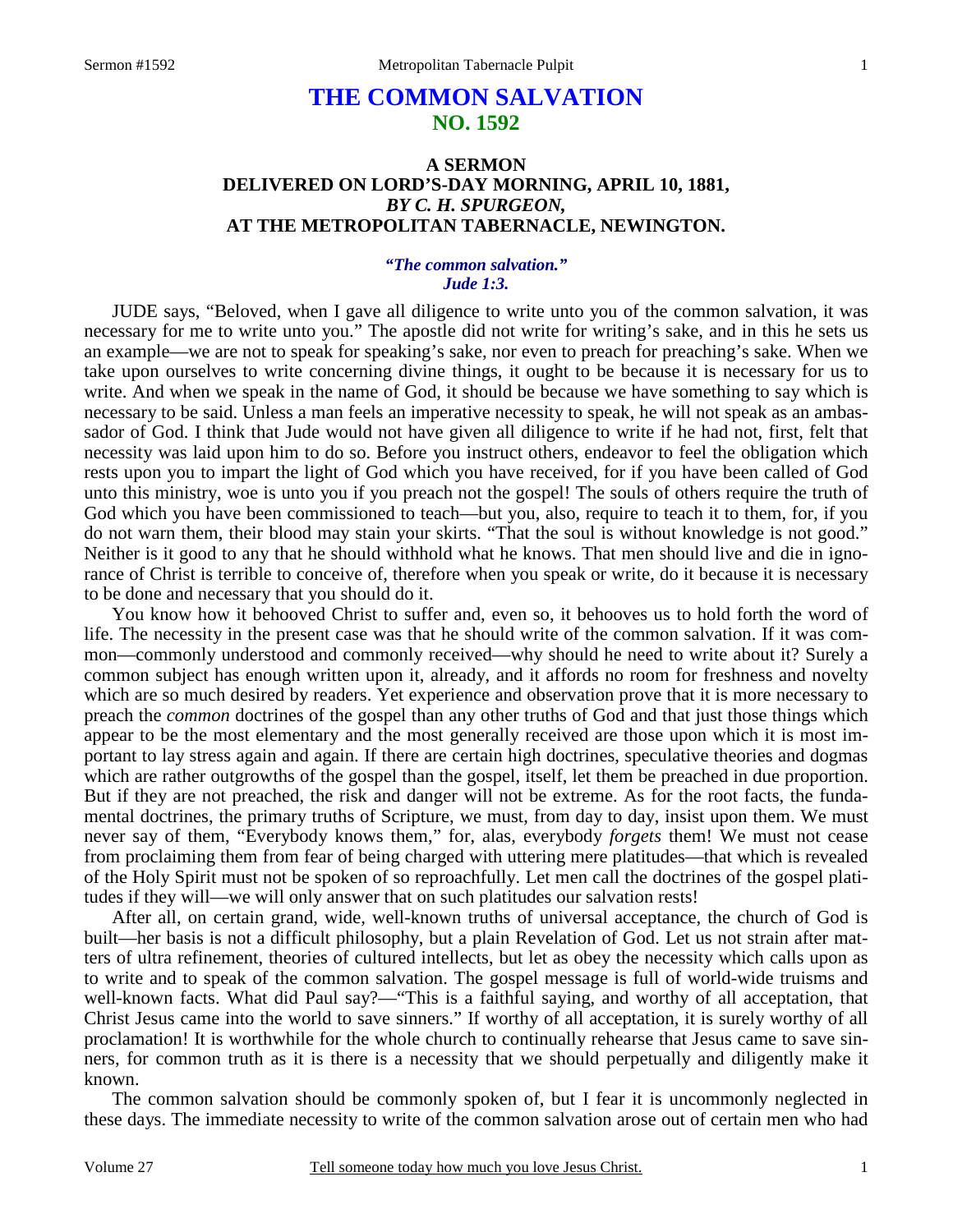# **THE COMMON SALVATION NO. 1592**

## **A SERMON DELIVERED ON LORD'S-DAY MORNING, APRIL 10, 1881,**  *BY C. H. SPURGEON,*  **AT THE METROPOLITAN TABERNACLE, NEWINGTON.**

### *"The common salvation." Jude 1:3.*

JUDE says, "Beloved, when I gave all diligence to write unto you of the common salvation, it was necessary for me to write unto you." The apostle did not write for writing's sake, and in this he sets us an example—we are not to speak for speaking's sake, nor even to preach for preaching's sake. When we take upon ourselves to write concerning divine things, it ought to be because it is necessary for us to write. And when we speak in the name of God, it should be because we have something to say which is necessary to be said. Unless a man feels an imperative necessity to speak, he will not speak as an ambassador of God. I think that Jude would not have given all diligence to write if he had not, first, felt that necessity was laid upon him to do so. Before you instruct others, endeavor to feel the obligation which rests upon you to impart the light of God which you have received, for if you have been called of God unto this ministry, woe is unto you if you preach not the gospel! The souls of others require the truth of God which you have been commissioned to teach—but you, also, require to teach it to them, for, if you do not warn them, their blood may stain your skirts. "That the soul is without knowledge is not good." Neither is it good to any that he should withhold what he knows. That men should live and die in ignorance of Christ is terrible to conceive of, therefore when you speak or write, do it because it is necessary to be done and necessary that you should do it.

 You know how it behooved Christ to suffer and, even so, it behooves us to hold forth the word of life. The necessity in the present case was that he should write of the common salvation. If it was common—commonly understood and commonly received—why should he need to write about it? Surely a common subject has enough written upon it, already, and it affords no room for freshness and novelty which are so much desired by readers. Yet experience and observation prove that it is more necessary to preach the *common* doctrines of the gospel than any other truths of God and that just those things which appear to be the most elementary and the most generally received are those upon which it is most important to lay stress again and again. If there are certain high doctrines, speculative theories and dogmas which are rather outgrowths of the gospel than the gospel, itself, let them be preached in due proportion. But if they are not preached, the risk and danger will not be extreme. As for the root facts, the fundamental doctrines, the primary truths of Scripture, we must, from day to day, insist upon them. We must never say of them, "Everybody knows them," for, alas, everybody *forgets* them! We must not cease from proclaiming them from fear of being charged with uttering mere platitudes—that which is revealed of the Holy Spirit must not be spoken of so reproachfully. Let men call the doctrines of the gospel platitudes if they will—we will only answer that on such platitudes our salvation rests!

 After all, on certain grand, wide, well-known truths of universal acceptance, the church of God is built—her basis is not a difficult philosophy, but a plain Revelation of God. Let us not strain after matters of ultra refinement, theories of cultured intellects, but let as obey the necessity which calls upon as to write and to speak of the common salvation. The gospel message is full of world-wide truisms and well-known facts. What did Paul say?—"This is a faithful saying, and worthy of all acceptation, that Christ Jesus came into the world to save sinners." If worthy of all acceptation, it is surely worthy of all proclamation! It is worthwhile for the whole church to continually rehearse that Jesus came to save sinners, for common truth as it is there is a necessity that we should perpetually and diligently make it known.

 The common salvation should be commonly spoken of, but I fear it is uncommonly neglected in these days. The immediate necessity to write of the common salvation arose out of certain men who had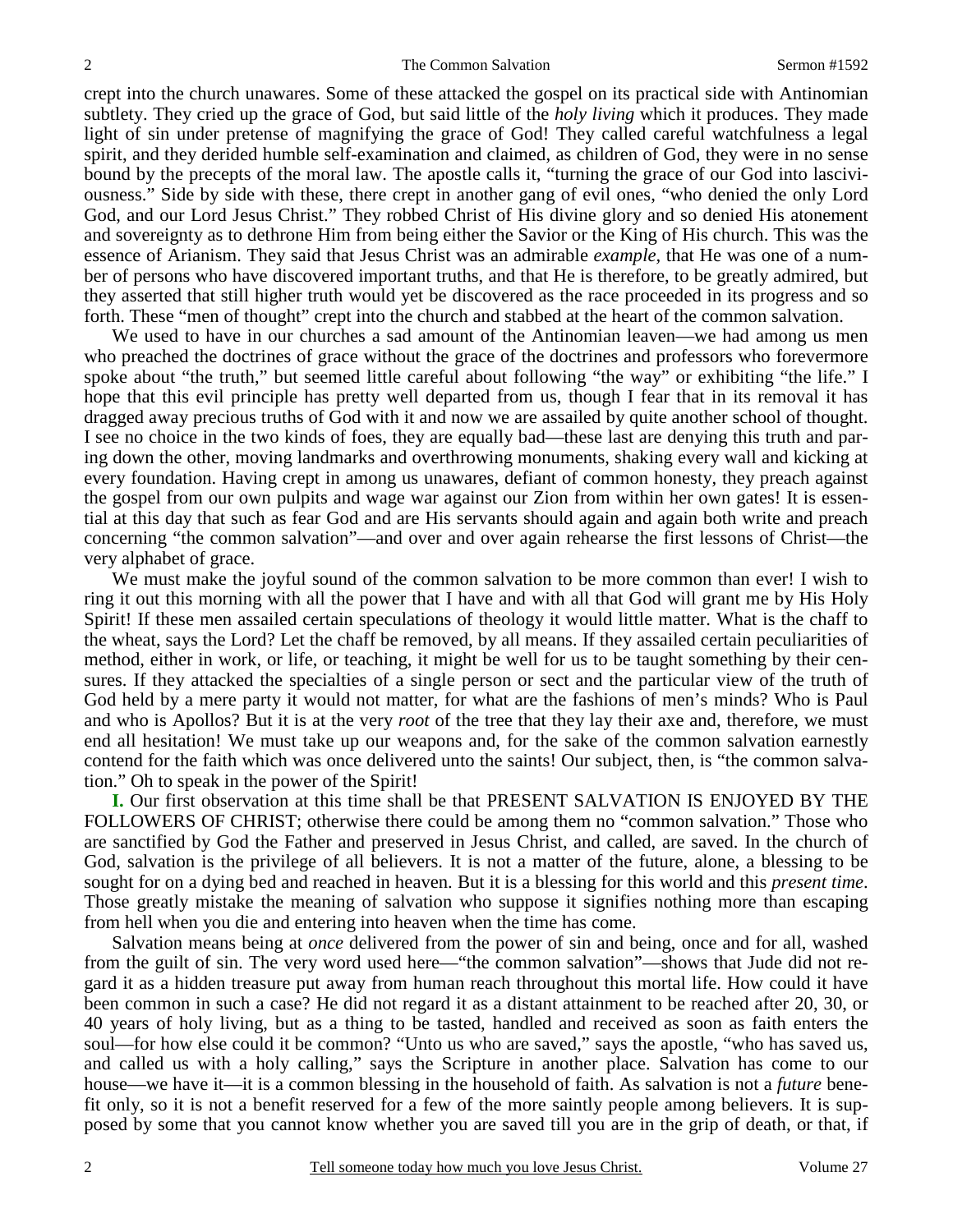crept into the church unawares. Some of these attacked the gospel on its practical side with Antinomian subtlety. They cried up the grace of God, but said little of the *holy living* which it produces. They made light of sin under pretense of magnifying the grace of God! They called careful watchfulness a legal spirit, and they derided humble self-examination and claimed, as children of God, they were in no sense bound by the precepts of the moral law. The apostle calls it, "turning the grace of our God into lasciviousness." Side by side with these, there crept in another gang of evil ones, "who denied the only Lord God, and our Lord Jesus Christ." They robbed Christ of His divine glory and so denied His atonement and sovereignty as to dethrone Him from being either the Savior or the King of His church. This was the essence of Arianism. They said that Jesus Christ was an admirable *example,* that He was one of a number of persons who have discovered important truths, and that He is therefore, to be greatly admired, but they asserted that still higher truth would yet be discovered as the race proceeded in its progress and so forth. These "men of thought" crept into the church and stabbed at the heart of the common salvation.

 We used to have in our churches a sad amount of the Antinomian leaven—we had among us men who preached the doctrines of grace without the grace of the doctrines and professors who forevermore spoke about "the truth," but seemed little careful about following "the way" or exhibiting "the life." I hope that this evil principle has pretty well departed from us, though I fear that in its removal it has dragged away precious truths of God with it and now we are assailed by quite another school of thought. I see no choice in the two kinds of foes, they are equally bad—these last are denying this truth and paring down the other, moving landmarks and overthrowing monuments, shaking every wall and kicking at every foundation. Having crept in among us unawares, defiant of common honesty, they preach against the gospel from our own pulpits and wage war against our Zion from within her own gates! It is essential at this day that such as fear God and are His servants should again and again both write and preach concerning "the common salvation"—and over and over again rehearse the first lessons of Christ—the very alphabet of grace.

 We must make the joyful sound of the common salvation to be more common than ever! I wish to ring it out this morning with all the power that I have and with all that God will grant me by His Holy Spirit! If these men assailed certain speculations of theology it would little matter. What is the chaff to the wheat, says the Lord? Let the chaff be removed, by all means. If they assailed certain peculiarities of method, either in work, or life, or teaching, it might be well for us to be taught something by their censures. If they attacked the specialties of a single person or sect and the particular view of the truth of God held by a mere party it would not matter, for what are the fashions of men's minds? Who is Paul and who is Apollos? But it is at the very *root* of the tree that they lay their axe and, therefore, we must end all hesitation! We must take up our weapons and, for the sake of the common salvation earnestly contend for the faith which was once delivered unto the saints! Our subject, then, is "the common salvation." Oh to speak in the power of the Spirit!

**I.** Our first observation at this time shall be that PRESENT SALVATION IS ENJOYED BY THE FOLLOWERS OF CHRIST; otherwise there could be among them no "common salvation." Those who are sanctified by God the Father and preserved in Jesus Christ, and called, are saved. In the church of God, salvation is the privilege of all believers. It is not a matter of the future, alone, a blessing to be sought for on a dying bed and reached in heaven. But it is a blessing for this world and this *present time*. Those greatly mistake the meaning of salvation who suppose it signifies nothing more than escaping from hell when you die and entering into heaven when the time has come.

 Salvation means being at *once* delivered from the power of sin and being, once and for all, washed from the guilt of sin. The very word used here—"the common salvation"—shows that Jude did not regard it as a hidden treasure put away from human reach throughout this mortal life. How could it have been common in such a case? He did not regard it as a distant attainment to be reached after 20, 30, or 40 years of holy living, but as a thing to be tasted, handled and received as soon as faith enters the soul—for how else could it be common? "Unto us who are saved," says the apostle, "who has saved us, and called us with a holy calling," says the Scripture in another place. Salvation has come to our house—we have it—it is a common blessing in the household of faith. As salvation is not a *future* benefit only, so it is not a benefit reserved for a few of the more saintly people among believers. It is supposed by some that you cannot know whether you are saved till you are in the grip of death, or that, if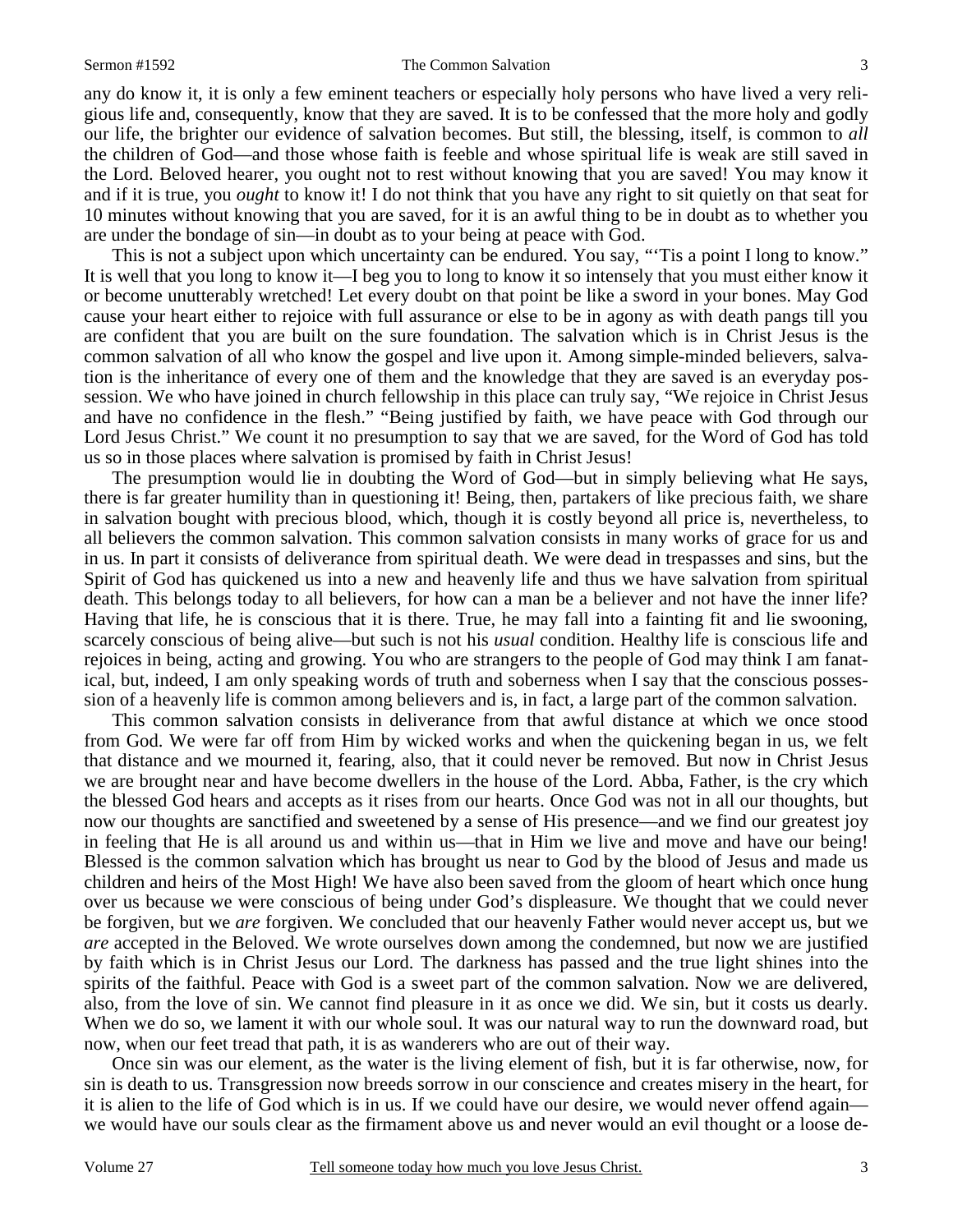#### Sermon #1592 The Common Salvation 3

any do know it, it is only a few eminent teachers or especially holy persons who have lived a very religious life and, consequently, know that they are saved. It is to be confessed that the more holy and godly our life, the brighter our evidence of salvation becomes. But still, the blessing, itself, is common to *all* the children of God—and those whose faith is feeble and whose spiritual life is weak are still saved in the Lord. Beloved hearer, you ought not to rest without knowing that you are saved! You may know it and if it is true, you *ought* to know it! I do not think that you have any right to sit quietly on that seat for 10 minutes without knowing that you are saved, for it is an awful thing to be in doubt as to whether you are under the bondage of sin—in doubt as to your being at peace with God.

This is not a subject upon which uncertainty can be endured. You say, "Tis a point I long to know." It is well that you long to know it—I beg you to long to know it so intensely that you must either know it or become unutterably wretched! Let every doubt on that point be like a sword in your bones. May God cause your heart either to rejoice with full assurance or else to be in agony as with death pangs till you are confident that you are built on the sure foundation. The salvation which is in Christ Jesus is the common salvation of all who know the gospel and live upon it. Among simple-minded believers, salvation is the inheritance of every one of them and the knowledge that they are saved is an everyday possession. We who have joined in church fellowship in this place can truly say, "We rejoice in Christ Jesus and have no confidence in the flesh." "Being justified by faith, we have peace with God through our Lord Jesus Christ." We count it no presumption to say that we are saved, for the Word of God has told us so in those places where salvation is promised by faith in Christ Jesus!

 The presumption would lie in doubting the Word of God—but in simply believing what He says, there is far greater humility than in questioning it! Being, then, partakers of like precious faith, we share in salvation bought with precious blood, which, though it is costly beyond all price is, nevertheless, to all believers the common salvation. This common salvation consists in many works of grace for us and in us. In part it consists of deliverance from spiritual death. We were dead in trespasses and sins, but the Spirit of God has quickened us into a new and heavenly life and thus we have salvation from spiritual death. This belongs today to all believers, for how can a man be a believer and not have the inner life? Having that life, he is conscious that it is there. True, he may fall into a fainting fit and lie swooning, scarcely conscious of being alive—but such is not his *usual* condition. Healthy life is conscious life and rejoices in being, acting and growing. You who are strangers to the people of God may think I am fanatical, but, indeed, I am only speaking words of truth and soberness when I say that the conscious possession of a heavenly life is common among believers and is, in fact, a large part of the common salvation.

 This common salvation consists in deliverance from that awful distance at which we once stood from God. We were far off from Him by wicked works and when the quickening began in us, we felt that distance and we mourned it, fearing, also, that it could never be removed. But now in Christ Jesus we are brought near and have become dwellers in the house of the Lord. Abba, Father, is the cry which the blessed God hears and accepts as it rises from our hearts. Once God was not in all our thoughts, but now our thoughts are sanctified and sweetened by a sense of His presence—and we find our greatest joy in feeling that He is all around us and within us—that in Him we live and move and have our being! Blessed is the common salvation which has brought us near to God by the blood of Jesus and made us children and heirs of the Most High! We have also been saved from the gloom of heart which once hung over us because we were conscious of being under God's displeasure. We thought that we could never be forgiven, but we *are* forgiven. We concluded that our heavenly Father would never accept us, but we *are* accepted in the Beloved. We wrote ourselves down among the condemned, but now we are justified by faith which is in Christ Jesus our Lord. The darkness has passed and the true light shines into the spirits of the faithful. Peace with God is a sweet part of the common salvation. Now we are delivered, also, from the love of sin. We cannot find pleasure in it as once we did. We sin, but it costs us dearly. When we do so, we lament it with our whole soul. It was our natural way to run the downward road, but now, when our feet tread that path, it is as wanderers who are out of their way.

 Once sin was our element, as the water is the living element of fish, but it is far otherwise, now, for sin is death to us. Transgression now breeds sorrow in our conscience and creates misery in the heart, for it is alien to the life of God which is in us. If we could have our desire, we would never offend again we would have our souls clear as the firmament above us and never would an evil thought or a loose de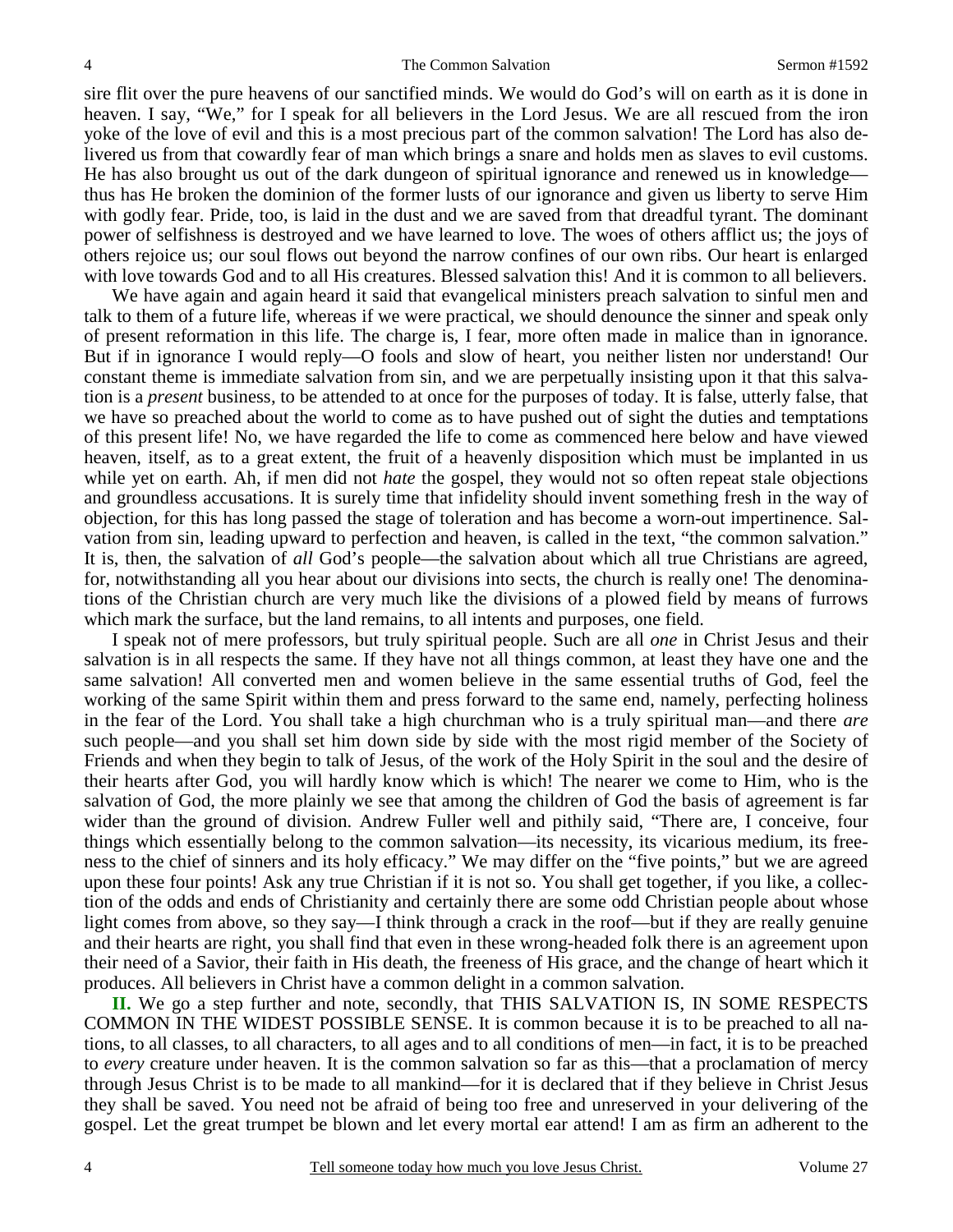sire flit over the pure heavens of our sanctified minds. We would do God's will on earth as it is done in heaven. I say, "We," for I speak for all believers in the Lord Jesus. We are all rescued from the iron yoke of the love of evil and this is a most precious part of the common salvation! The Lord has also delivered us from that cowardly fear of man which brings a snare and holds men as slaves to evil customs. He has also brought us out of the dark dungeon of spiritual ignorance and renewed us in knowledge thus has He broken the dominion of the former lusts of our ignorance and given us liberty to serve Him with godly fear. Pride, too, is laid in the dust and we are saved from that dreadful tyrant. The dominant power of selfishness is destroyed and we have learned to love. The woes of others afflict us; the joys of others rejoice us; our soul flows out beyond the narrow confines of our own ribs. Our heart is enlarged with love towards God and to all His creatures. Blessed salvation this! And it is common to all believers.

 We have again and again heard it said that evangelical ministers preach salvation to sinful men and talk to them of a future life, whereas if we were practical, we should denounce the sinner and speak only of present reformation in this life. The charge is, I fear, more often made in malice than in ignorance. But if in ignorance I would reply—O fools and slow of heart, you neither listen nor understand! Our constant theme is immediate salvation from sin, and we are perpetually insisting upon it that this salvation is a *present* business, to be attended to at once for the purposes of today. It is false, utterly false, that we have so preached about the world to come as to have pushed out of sight the duties and temptations of this present life! No, we have regarded the life to come as commenced here below and have viewed heaven, itself, as to a great extent, the fruit of a heavenly disposition which must be implanted in us while yet on earth. Ah, if men did not *hate* the gospel, they would not so often repeat stale objections and groundless accusations. It is surely time that infidelity should invent something fresh in the way of objection, for this has long passed the stage of toleration and has become a worn-out impertinence. Salvation from sin, leading upward to perfection and heaven, is called in the text, "the common salvation." It is, then, the salvation of *all* God's people—the salvation about which all true Christians are agreed, for, notwithstanding all you hear about our divisions into sects, the church is really one! The denominations of the Christian church are very much like the divisions of a plowed field by means of furrows which mark the surface, but the land remains, to all intents and purposes, one field.

 I speak not of mere professors, but truly spiritual people. Such are all *one* in Christ Jesus and their salvation is in all respects the same. If they have not all things common, at least they have one and the same salvation! All converted men and women believe in the same essential truths of God, feel the working of the same Spirit within them and press forward to the same end, namely, perfecting holiness in the fear of the Lord. You shall take a high churchman who is a truly spiritual man—and there *are* such people—and you shall set him down side by side with the most rigid member of the Society of Friends and when they begin to talk of Jesus, of the work of the Holy Spirit in the soul and the desire of their hearts after God, you will hardly know which is which! The nearer we come to Him, who is the salvation of God, the more plainly we see that among the children of God the basis of agreement is far wider than the ground of division. Andrew Fuller well and pithily said, "There are, I conceive, four things which essentially belong to the common salvation—its necessity, its vicarious medium, its freeness to the chief of sinners and its holy efficacy." We may differ on the "five points," but we are agreed upon these four points! Ask any true Christian if it is not so. You shall get together, if you like, a collection of the odds and ends of Christianity and certainly there are some odd Christian people about whose light comes from above, so they say—I think through a crack in the roof—but if they are really genuine and their hearts are right, you shall find that even in these wrong-headed folk there is an agreement upon their need of a Savior, their faith in His death, the freeness of His grace, and the change of heart which it produces. All believers in Christ have a common delight in a common salvation.

 **II.** We go a step further and note, secondly, that THIS SALVATION IS, IN SOME RESPECTS COMMON IN THE WIDEST POSSIBLE SENSE. It is common because it is to be preached to all nations, to all classes, to all characters, to all ages and to all conditions of men—in fact, it is to be preached to *every* creature under heaven. It is the common salvation so far as this—that a proclamation of mercy through Jesus Christ is to be made to all mankind—for it is declared that if they believe in Christ Jesus they shall be saved. You need not be afraid of being too free and unreserved in your delivering of the gospel. Let the great trumpet be blown and let every mortal ear attend! I am as firm an adherent to the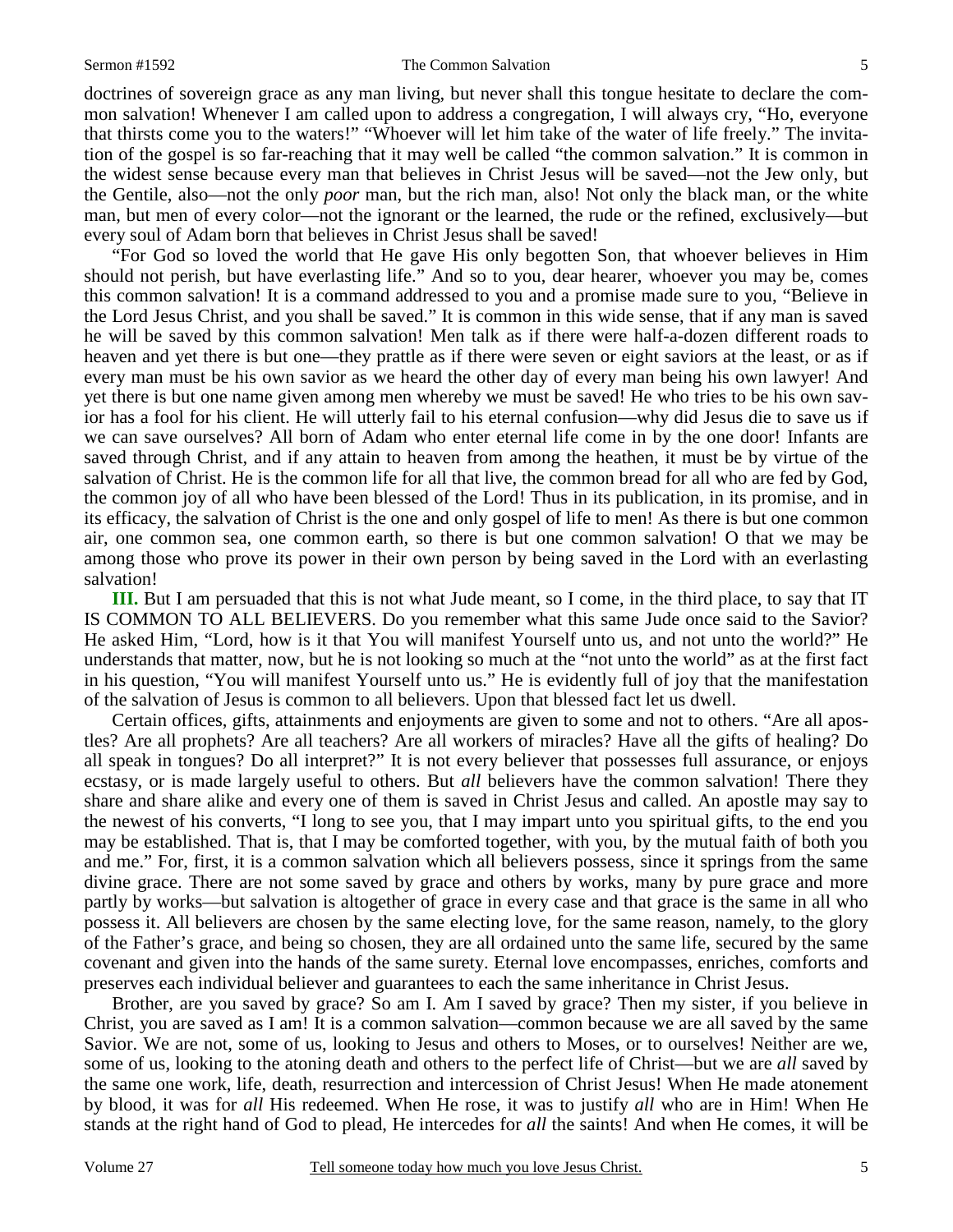#### Sermon #1592 The Common Salvation 5

doctrines of sovereign grace as any man living, but never shall this tongue hesitate to declare the common salvation! Whenever I am called upon to address a congregation, I will always cry, "Ho, everyone that thirsts come you to the waters!" "Whoever will let him take of the water of life freely." The invitation of the gospel is so far-reaching that it may well be called "the common salvation." It is common in the widest sense because every man that believes in Christ Jesus will be saved—not the Jew only, but the Gentile, also—not the only *poor* man, but the rich man, also! Not only the black man, or the white man, but men of every color—not the ignorant or the learned, the rude or the refined, exclusively—but

every soul of Adam born that believes in Christ Jesus shall be saved! "For God so loved the world that He gave His only begotten Son, that whoever believes in Him should not perish, but have everlasting life." And so to you, dear hearer, whoever you may be, comes this common salvation! It is a command addressed to you and a promise made sure to you, "Believe in the Lord Jesus Christ, and you shall be saved." It is common in this wide sense, that if any man is saved he will be saved by this common salvation! Men talk as if there were half-a-dozen different roads to heaven and yet there is but one—they prattle as if there were seven or eight saviors at the least, or as if every man must be his own savior as we heard the other day of every man being his own lawyer! And yet there is but one name given among men whereby we must be saved! He who tries to be his own savior has a fool for his client. He will utterly fail to his eternal confusion—why did Jesus die to save us if we can save ourselves? All born of Adam who enter eternal life come in by the one door! Infants are saved through Christ, and if any attain to heaven from among the heathen, it must be by virtue of the salvation of Christ. He is the common life for all that live, the common bread for all who are fed by God, the common joy of all who have been blessed of the Lord! Thus in its publication, in its promise, and in its efficacy, the salvation of Christ is the one and only gospel of life to men! As there is but one common air, one common sea, one common earth, so there is but one common salvation! O that we may be among those who prove its power in their own person by being saved in the Lord with an everlasting salvation!

 **III.** But I am persuaded that this is not what Jude meant, so I come, in the third place, to say that IT IS COMMON TO ALL BELIEVERS. Do you remember what this same Jude once said to the Savior? He asked Him, "Lord, how is it that You will manifest Yourself unto us, and not unto the world?" He understands that matter, now, but he is not looking so much at the "not unto the world" as at the first fact in his question, "You will manifest Yourself unto us." He is evidently full of joy that the manifestation of the salvation of Jesus is common to all believers. Upon that blessed fact let us dwell.

 Certain offices, gifts, attainments and enjoyments are given to some and not to others. "Are all apostles? Are all prophets? Are all teachers? Are all workers of miracles? Have all the gifts of healing? Do all speak in tongues? Do all interpret?" It is not every believer that possesses full assurance, or enjoys ecstasy, or is made largely useful to others. But *all* believers have the common salvation! There they share and share alike and every one of them is saved in Christ Jesus and called. An apostle may say to the newest of his converts, "I long to see you, that I may impart unto you spiritual gifts, to the end you may be established. That is, that I may be comforted together, with you, by the mutual faith of both you and me." For, first, it is a common salvation which all believers possess, since it springs from the same divine grace. There are not some saved by grace and others by works, many by pure grace and more partly by works—but salvation is altogether of grace in every case and that grace is the same in all who possess it. All believers are chosen by the same electing love, for the same reason, namely, to the glory of the Father's grace, and being so chosen, they are all ordained unto the same life, secured by the same covenant and given into the hands of the same surety. Eternal love encompasses, enriches, comforts and preserves each individual believer and guarantees to each the same inheritance in Christ Jesus.

 Brother, are you saved by grace? So am I. Am I saved by grace? Then my sister, if you believe in Christ, you are saved as I am! It is a common salvation—common because we are all saved by the same Savior. We are not, some of us, looking to Jesus and others to Moses, or to ourselves! Neither are we, some of us, looking to the atoning death and others to the perfect life of Christ—but we are *all* saved by the same one work, life, death, resurrection and intercession of Christ Jesus! When He made atonement by blood, it was for *all* His redeemed. When He rose, it was to justify *all* who are in Him! When He stands at the right hand of God to plead, He intercedes for *all* the saints! And when He comes, it will be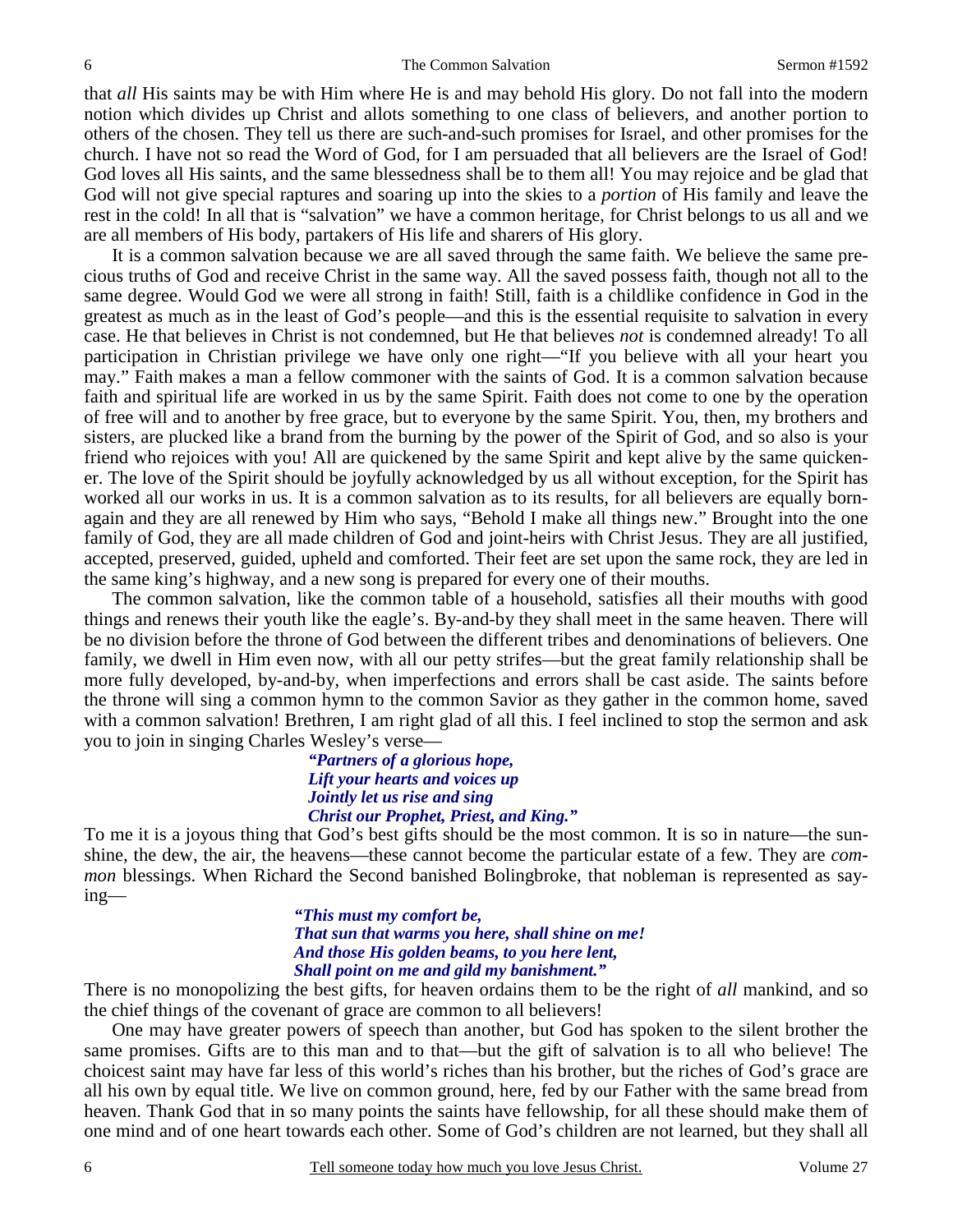that *all* His saints may be with Him where He is and may behold His glory. Do not fall into the modern notion which divides up Christ and allots something to one class of believers, and another portion to others of the chosen. They tell us there are such-and-such promises for Israel, and other promises for the church. I have not so read the Word of God, for I am persuaded that all believers are the Israel of God! God loves all His saints, and the same blessedness shall be to them all! You may rejoice and be glad that God will not give special raptures and soaring up into the skies to a *portion* of His family and leave the rest in the cold! In all that is "salvation" we have a common heritage, for Christ belongs to us all and we are all members of His body, partakers of His life and sharers of His glory.

 It is a common salvation because we are all saved through the same faith. We believe the same precious truths of God and receive Christ in the same way. All the saved possess faith, though not all to the same degree. Would God we were all strong in faith! Still, faith is a childlike confidence in God in the greatest as much as in the least of God's people—and this is the essential requisite to salvation in every case. He that believes in Christ is not condemned, but He that believes *not* is condemned already! To all participation in Christian privilege we have only one right—"If you believe with all your heart you may." Faith makes a man a fellow commoner with the saints of God. It is a common salvation because faith and spiritual life are worked in us by the same Spirit. Faith does not come to one by the operation of free will and to another by free grace, but to everyone by the same Spirit. You, then, my brothers and sisters, are plucked like a brand from the burning by the power of the Spirit of God, and so also is your friend who rejoices with you! All are quickened by the same Spirit and kept alive by the same quickener. The love of the Spirit should be joyfully acknowledged by us all without exception, for the Spirit has worked all our works in us. It is a common salvation as to its results, for all believers are equally bornagain and they are all renewed by Him who says, "Behold I make all things new." Brought into the one family of God, they are all made children of God and joint-heirs with Christ Jesus. They are all justified, accepted, preserved, guided, upheld and comforted. Their feet are set upon the same rock, they are led in the same king's highway, and a new song is prepared for every one of their mouths.

 The common salvation, like the common table of a household, satisfies all their mouths with good things and renews their youth like the eagle's. By-and-by they shall meet in the same heaven. There will be no division before the throne of God between the different tribes and denominations of believers. One family, we dwell in Him even now, with all our petty strifes—but the great family relationship shall be more fully developed, by-and-by, when imperfections and errors shall be cast aside. The saints before the throne will sing a common hymn to the common Savior as they gather in the common home, saved with a common salvation! Brethren, I am right glad of all this. I feel inclined to stop the sermon and ask you to join in singing Charles Wesley's verse—

> *"Partners of a glorious hope, Lift your hearts and voices up Jointly let us rise and sing Christ our Prophet, Priest, and King."*

To me it is a joyous thing that God's best gifts should be the most common. It is so in nature—the sunshine, the dew, the air, the heavens—these cannot become the particular estate of a few. They are *common* blessings. When Richard the Second banished Bolingbroke, that nobleman is represented as saying—

> *"This must my comfort be, That sun that warms you here, shall shine on me! And those His golden beams, to you here lent, Shall point on me and gild my banishment."*

There is no monopolizing the best gifts, for heaven ordains them to be the right of *all* mankind, and so the chief things of the covenant of grace are common to all believers!

 One may have greater powers of speech than another, but God has spoken to the silent brother the same promises. Gifts are to this man and to that—but the gift of salvation is to all who believe! The choicest saint may have far less of this world's riches than his brother, but the riches of God's grace are all his own by equal title. We live on common ground, here, fed by our Father with the same bread from heaven. Thank God that in so many points the saints have fellowship, for all these should make them of one mind and of one heart towards each other. Some of God's children are not learned, but they shall all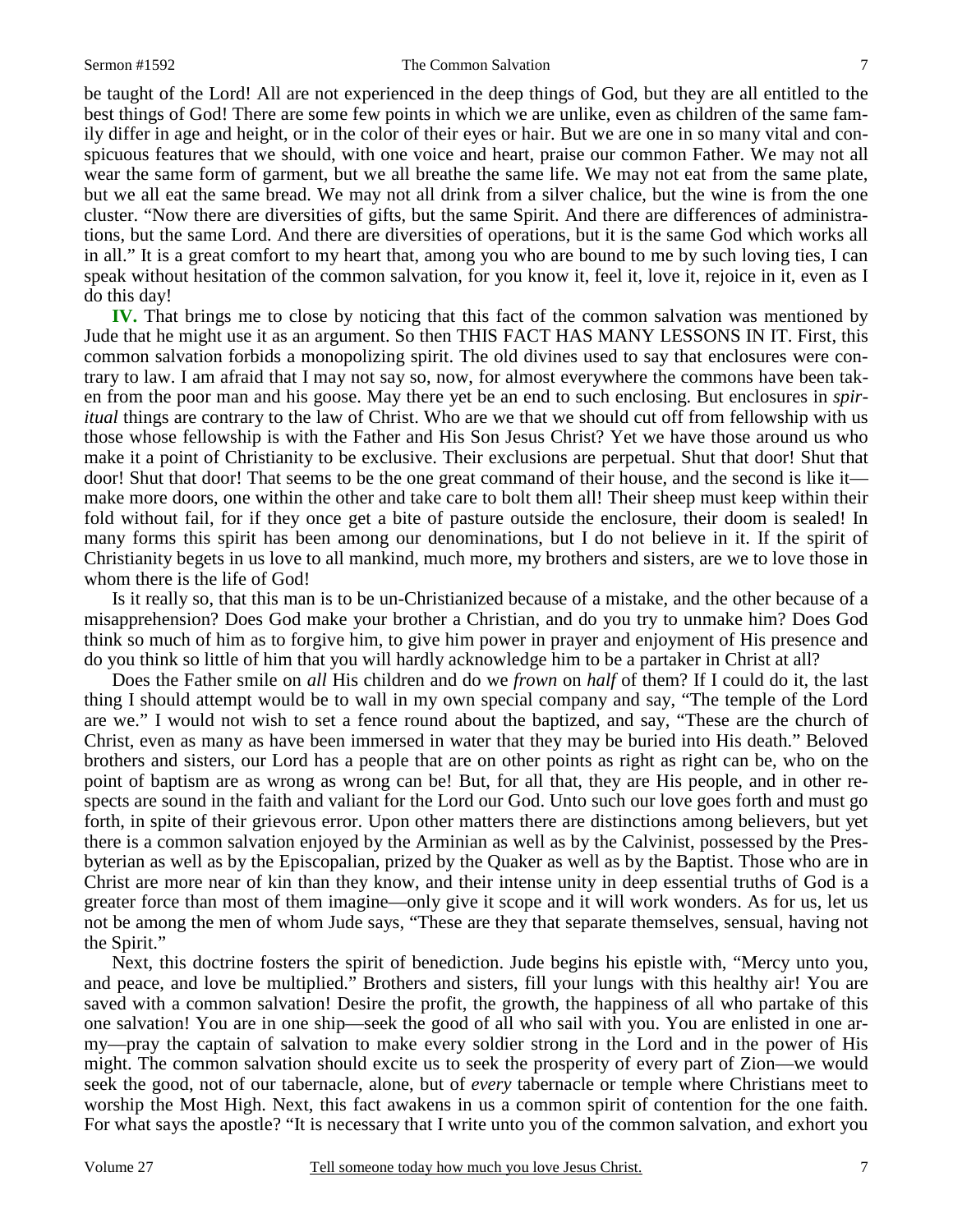#### Sermon #1592 The Common Salvation 7

be taught of the Lord! All are not experienced in the deep things of God, but they are all entitled to the best things of God! There are some few points in which we are unlike, even as children of the same family differ in age and height, or in the color of their eyes or hair. But we are one in so many vital and conspicuous features that we should, with one voice and heart, praise our common Father. We may not all wear the same form of garment, but we all breathe the same life. We may not eat from the same plate, but we all eat the same bread. We may not all drink from a silver chalice, but the wine is from the one cluster. "Now there are diversities of gifts, but the same Spirit. And there are differences of administrations, but the same Lord. And there are diversities of operations, but it is the same God which works all in all." It is a great comfort to my heart that, among you who are bound to me by such loving ties, I can speak without hesitation of the common salvation, for you know it, feel it, love it, rejoice in it, even as I do this day!

**IV.** That brings me to close by noticing that this fact of the common salvation was mentioned by Jude that he might use it as an argument. So then THIS FACT HAS MANY LESSONS IN IT. First, this common salvation forbids a monopolizing spirit. The old divines used to say that enclosures were contrary to law. I am afraid that I may not say so, now, for almost everywhere the commons have been taken from the poor man and his goose. May there yet be an end to such enclosing. But enclosures in *spiritual* things are contrary to the law of Christ. Who are we that we should cut off from fellowship with us those whose fellowship is with the Father and His Son Jesus Christ? Yet we have those around us who make it a point of Christianity to be exclusive. Their exclusions are perpetual. Shut that door! Shut that door! Shut that door! That seems to be the one great command of their house, and the second is like it make more doors, one within the other and take care to bolt them all! Their sheep must keep within their fold without fail, for if they once get a bite of pasture outside the enclosure, their doom is sealed! In many forms this spirit has been among our denominations, but I do not believe in it. If the spirit of Christianity begets in us love to all mankind, much more, my brothers and sisters, are we to love those in whom there is the life of God!

 Is it really so, that this man is to be un-Christianized because of a mistake, and the other because of a misapprehension? Does God make your brother a Christian, and do you try to unmake him? Does God think so much of him as to forgive him, to give him power in prayer and enjoyment of His presence and do you think so little of him that you will hardly acknowledge him to be a partaker in Christ at all?

 Does the Father smile on *all* His children and do we *frown* on *half* of them? If I could do it, the last thing I should attempt would be to wall in my own special company and say, "The temple of the Lord are we." I would not wish to set a fence round about the baptized, and say, "These are the church of Christ, even as many as have been immersed in water that they may be buried into His death." Beloved brothers and sisters, our Lord has a people that are on other points as right as right can be, who on the point of baptism are as wrong as wrong can be! But, for all that, they are His people, and in other respects are sound in the faith and valiant for the Lord our God. Unto such our love goes forth and must go forth, in spite of their grievous error. Upon other matters there are distinctions among believers, but yet there is a common salvation enjoyed by the Arminian as well as by the Calvinist, possessed by the Presbyterian as well as by the Episcopalian, prized by the Quaker as well as by the Baptist. Those who are in Christ are more near of kin than they know, and their intense unity in deep essential truths of God is a greater force than most of them imagine—only give it scope and it will work wonders. As for us, let us not be among the men of whom Jude says, "These are they that separate themselves, sensual, having not the Spirit."

 Next, this doctrine fosters the spirit of benediction. Jude begins his epistle with, "Mercy unto you, and peace, and love be multiplied." Brothers and sisters, fill your lungs with this healthy air! You are saved with a common salvation! Desire the profit, the growth, the happiness of all who partake of this one salvation! You are in one ship—seek the good of all who sail with you. You are enlisted in one army—pray the captain of salvation to make every soldier strong in the Lord and in the power of His might. The common salvation should excite us to seek the prosperity of every part of Zion—we would seek the good, not of our tabernacle, alone, but of *every* tabernacle or temple where Christians meet to worship the Most High. Next, this fact awakens in us a common spirit of contention for the one faith. For what says the apostle? "It is necessary that I write unto you of the common salvation, and exhort you